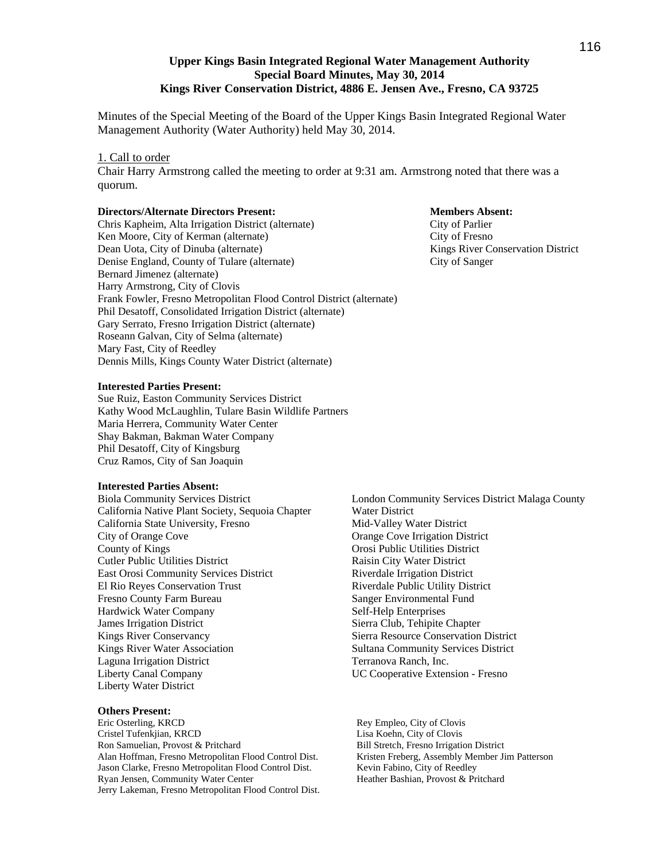# **Upper Kings Basin Integrated Regional Water Management Authority Special Board Minutes, May 30, 2014 Kings River Conservation District, 4886 E. Jensen Ave., Fresno, CA 93725**

Minutes of the Special Meeting of the Board of the Upper Kings Basin Integrated Regional Water Management Authority (Water Authority) held May 30, 2014.

## 1. Call to order

Chair Harry Armstrong called the meeting to order at 9:31 am. Armstrong noted that there was a quorum.

#### **Directors/Alternate Directors Present: Members Absent: Members Absent:**

Chris Kapheim, Alta Irrigation District (alternate) City of Parlier Ken Moore, City of Kerman (alternate) City of Fresno Dean Uota, City of Dinuba (alternate) Kings River Conservation District Denise England, County of Tulare (alternate) City of Sanger Bernard Jimenez (alternate) Harry Armstrong, City of Clovis Frank Fowler, Fresno Metropolitan Flood Control District (alternate) Phil Desatoff, Consolidated Irrigation District (alternate) Gary Serrato, Fresno Irrigation District (alternate) Roseann Galvan, City of Selma (alternate) Mary Fast, City of Reedley Dennis Mills, Kings County Water District (alternate)

#### **Interested Parties Present:**

Sue Ruiz, Easton Community Services District Kathy Wood McLaughlin, Tulare Basin Wildlife Partners Maria Herrera, Community Water Center Shay Bakman, Bakman Water Company Phil Desatoff, City of Kingsburg Cruz Ramos, City of San Joaquin

#### **Interested Parties Absent:**

Biola Community Services District California Native Plant Society, Sequoia Chapter California State University, Fresno City of Orange Cove County of Kings Cutler Public Utilities District East Orosi Community Services District El Rio Reyes Conservation Trust Fresno County Farm Bureau Hardwick Water Company James Irrigation District Kings River Conservancy Kings River Water Association Laguna Irrigation District Liberty Canal Company Liberty Water District

## **Others Present:**

Eric Osterling, KRCD Cristel Tufenkjian, KRCD Ron Samuelian, Provost & Pritchard Alan Hoffman, Fresno Metropolitan Flood Control Dist. Jason Clarke, Fresno Metropolitan Flood Control Dist. Ryan Jensen, Community Water Center Jerry Lakeman, Fresno Metropolitan Flood Control Dist. London Community Services District Malaga County Water District Mid-Valley Water District Orange Cove Irrigation District Orosi Public Utilities District Raisin City Water District Riverdale Irrigation District Riverdale Public Utility District Sanger Environmental Fund Self-Help Enterprises Sierra Club, Tehipite Chapter Sierra Resource Conservation District Sultana Community Services District Terranova Ranch, Inc. UC Cooperative Extension - Fresno

Rey Empleo, City of Clovis Lisa Koehn, City of Clovis Bill Stretch, Fresno Irrigation District Kristen Freberg, Assembly Member Jim Patterson Kevin Fabino, City of Reedley Heather Bashian, Provost & Pritchard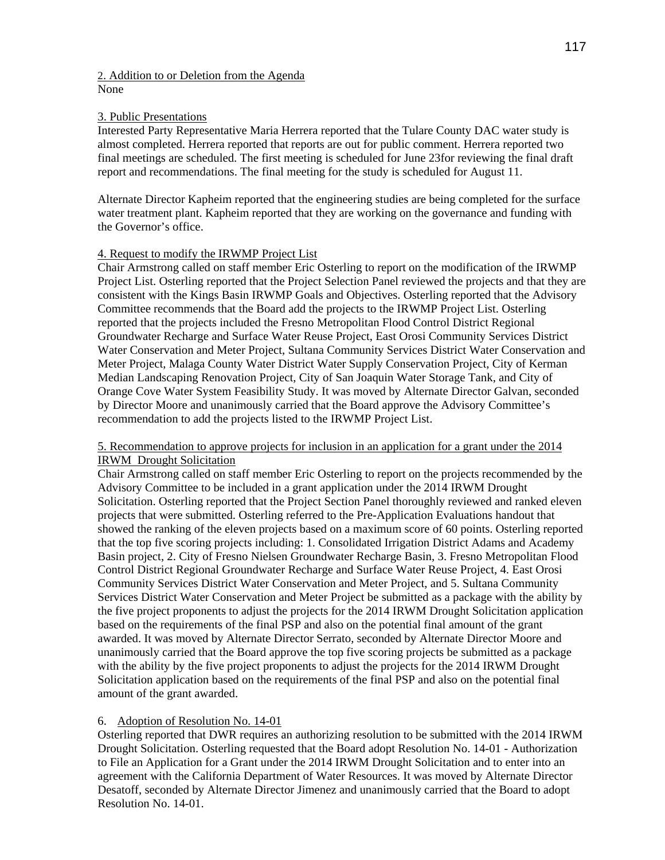## 2. Addition to or Deletion from the Agenda None

## 3. Public Presentations

Interested Party Representative Maria Herrera reported that the Tulare County DAC water study is almost completed. Herrera reported that reports are out for public comment. Herrera reported two final meetings are scheduled. The first meeting is scheduled for June 23for reviewing the final draft report and recommendations. The final meeting for the study is scheduled for August 11.

Alternate Director Kapheim reported that the engineering studies are being completed for the surface water treatment plant. Kapheim reported that they are working on the governance and funding with the Governor's office.

## 4. Request to modify the IRWMP Project List

Chair Armstrong called on staff member Eric Osterling to report on the modification of the IRWMP Project List. Osterling reported that the Project Selection Panel reviewed the projects and that they are consistent with the Kings Basin IRWMP Goals and Objectives. Osterling reported that the Advisory Committee recommends that the Board add the projects to the IRWMP Project List. Osterling reported that the projects included the Fresno Metropolitan Flood Control District Regional Groundwater Recharge and Surface Water Reuse Project, East Orosi Community Services District Water Conservation and Meter Project, Sultana Community Services District Water Conservation and Meter Project, Malaga County Water District Water Supply Conservation Project, City of Kerman Median Landscaping Renovation Project, City of San Joaquin Water Storage Tank, and City of Orange Cove Water System Feasibility Study. It was moved by Alternate Director Galvan, seconded by Director Moore and unanimously carried that the Board approve the Advisory Committee's recommendation to add the projects listed to the IRWMP Project List.

## 5. Recommendation to approve projects for inclusion in an application for a grant under the 2014 IRWM Drought Solicitation

Chair Armstrong called on staff member Eric Osterling to report on the projects recommended by the Advisory Committee to be included in a grant application under the 2014 IRWM Drought Solicitation. Osterling reported that the Project Section Panel thoroughly reviewed and ranked eleven projects that were submitted. Osterling referred to the Pre-Application Evaluations handout that showed the ranking of the eleven projects based on a maximum score of 60 points. Osterling reported that the top five scoring projects including: 1. Consolidated Irrigation District Adams and Academy Basin project, 2. City of Fresno Nielsen Groundwater Recharge Basin, 3. Fresno Metropolitan Flood Control District Regional Groundwater Recharge and Surface Water Reuse Project, 4. East Orosi Community Services District Water Conservation and Meter Project, and 5. Sultana Community Services District Water Conservation and Meter Project be submitted as a package with the ability by the five project proponents to adjust the projects for the 2014 IRWM Drought Solicitation application based on the requirements of the final PSP and also on the potential final amount of the grant awarded. It was moved by Alternate Director Serrato, seconded by Alternate Director Moore and unanimously carried that the Board approve the top five scoring projects be submitted as a package with the ability by the five project proponents to adjust the projects for the 2014 IRWM Drought Solicitation application based on the requirements of the final PSP and also on the potential final amount of the grant awarded.

# 6. Adoption of Resolution No. 14-01

Osterling reported that DWR requires an authorizing resolution to be submitted with the 2014 IRWM Drought Solicitation. Osterling requested that the Board adopt Resolution No. 14-01 - Authorization to File an Application for a Grant under the 2014 IRWM Drought Solicitation and to enter into an agreement with the California Department of Water Resources. It was moved by Alternate Director Desatoff, seconded by Alternate Director Jimenez and unanimously carried that the Board to adopt Resolution No. 14-01.